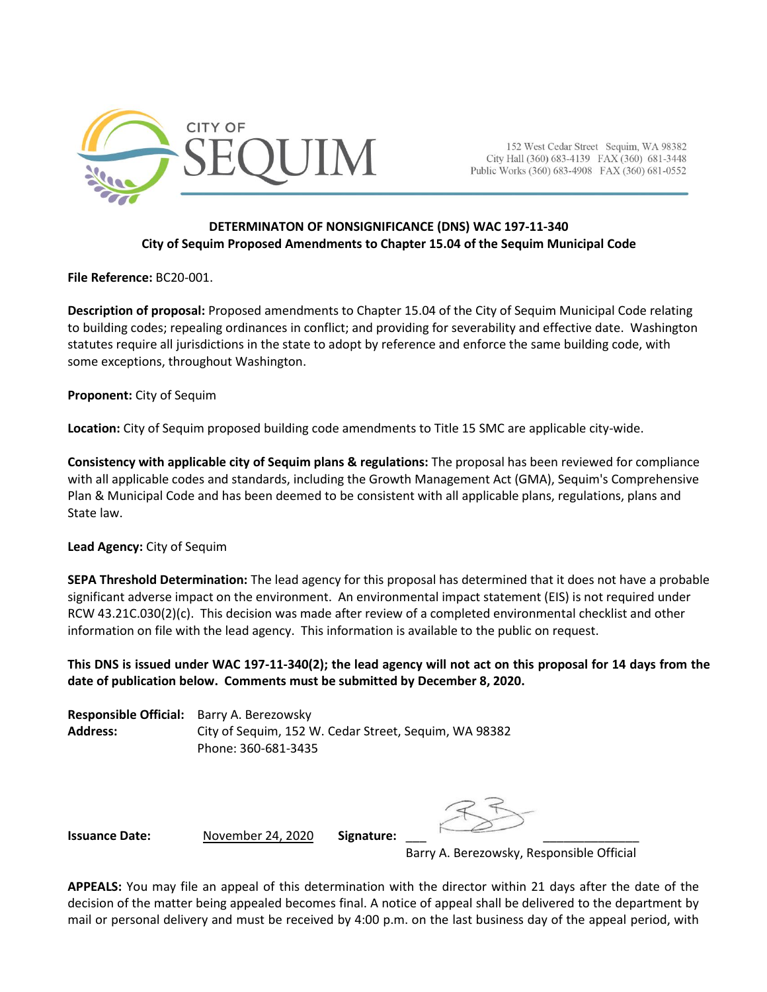

152 West Cedar Street Sequim, WA 98382 City Hall (360) 683-4139 FAX (360) 681-3448 Public Works (360) 683-4908 FAX (360) 681-0552

## **DETERMINATON OF NONSIGNIFICANCE (DNS) WAC 197-11-340 City of Sequim Proposed Amendments to Chapter 15.04 of the Sequim Municipal Code**

**File Reference:** BC20-001.

**Description of proposal:** Proposed amendments to Chapter 15.04 of the City of Sequim Municipal Code relating to building codes; repealing ordinances in conflict; and providing for severability and effective date. Washington statutes require all jurisdictions in the state to adopt by reference and enforce the same building code, with some exceptions, throughout Washington.

**Proponent:** City of Sequim

**Location:** City of Sequim proposed building code amendments to Title 15 SMC are applicable city-wide.

**Consistency with applicable city of Sequim plans & regulations:** The proposal has been reviewed for compliance with all applicable codes and standards, including the Growth Management Act (GMA), Sequim's Comprehensive Plan & Municipal Code and has been deemed to be consistent with all applicable plans, regulations, plans and State law.

## **Lead Agency:** City of Sequim

**SEPA Threshold Determination:** The lead agency for this proposal has determined that it does not have a probable significant adverse impact on the environment. An environmental impact statement (EIS) is not required under RCW 43.21C.030(2)(c). This decision was made after review of a completed environmental checklist and other information on file with the lead agency. This information is available to the public on request.

**This DNS is issued under WAC 197-11-340(2); the lead agency will not act on this proposal for 14 days from the date of publication below. Comments must be submitted by December 8, 2020.**

**Responsible Official:** Barry A. Berezowsky **Address:** City of Sequim, 152 W. Cedar Street, Sequim, WA 98382 Phone: 360-681-3435

**Issuance Date:** November 24, 2020 **Signature:** 

Barry A. Berezowsky, Responsible Official

**APPEALS:** You may file an appeal of this determination with the director within 21 days after the date of the decision of the matter being appealed becomes final. A notice of appeal shall be delivered to the department by mail or personal delivery and must be received by 4:00 p.m. on the last business day of the appeal period, with